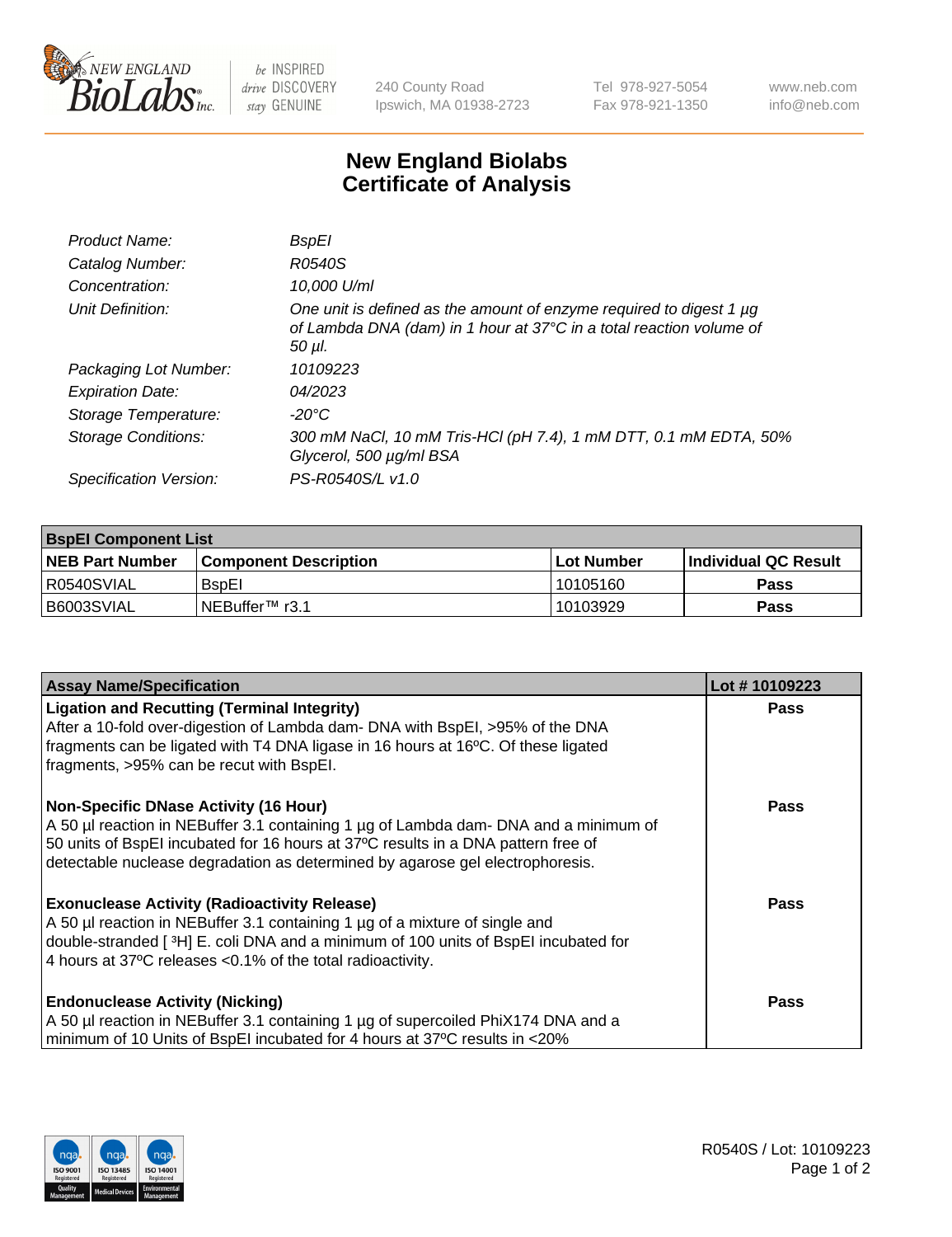

 $be$  INSPIRED drive DISCOVERY stay GENUINE

240 County Road Ipswich, MA 01938-2723 Tel 978-927-5054 Fax 978-921-1350 www.neb.com info@neb.com

## **New England Biolabs Certificate of Analysis**

| Product Name:           | BspEl                                                                                                                                                     |
|-------------------------|-----------------------------------------------------------------------------------------------------------------------------------------------------------|
| Catalog Number:         | R0540S                                                                                                                                                    |
| Concentration:          | 10,000 U/ml                                                                                                                                               |
| Unit Definition:        | One unit is defined as the amount of enzyme required to digest 1 $\mu$ g<br>of Lambda DNA (dam) in 1 hour at 37°C in a total reaction volume of<br>50 µI. |
| Packaging Lot Number:   | 10109223                                                                                                                                                  |
| <b>Expiration Date:</b> | 04/2023                                                                                                                                                   |
| Storage Temperature:    | -20°C                                                                                                                                                     |
| Storage Conditions:     | 300 mM NaCl, 10 mM Tris-HCl (pH 7.4), 1 mM DTT, 0.1 mM EDTA, 50%<br>Glycerol, 500 µg/ml BSA                                                               |
| Specification Version:  | PS-R0540S/L v1.0                                                                                                                                          |

| <b>BspEl Component List</b> |                              |             |                       |  |  |
|-----------------------------|------------------------------|-------------|-----------------------|--|--|
| <b>NEB Part Number</b>      | <b>Component Description</b> | ⊺Lot Number | ∣Individual QC Result |  |  |
| R0540SVIAL                  | <b>B</b> spEI                | 10105160    | <b>Pass</b>           |  |  |
| B6003SVIAL                  | TNEBuffer <sup>™</sup> r3.1  | 10103929    | <b>Pass</b>           |  |  |

| <b>Assay Name/Specification</b>                                                                                                                                           | Lot #10109223 |
|---------------------------------------------------------------------------------------------------------------------------------------------------------------------------|---------------|
| <b>Ligation and Recutting (Terminal Integrity)</b>                                                                                                                        | <b>Pass</b>   |
| After a 10-fold over-digestion of Lambda dam- DNA with BspEI, >95% of the DNA<br>fragments can be ligated with T4 DNA ligase in 16 hours at 16°C. Of these ligated        |               |
| fragments, >95% can be recut with BspEI.                                                                                                                                  |               |
| Non-Specific DNase Activity (16 Hour)                                                                                                                                     | <b>Pass</b>   |
| A 50 µl reaction in NEBuffer 3.1 containing 1 µg of Lambda dam- DNA and a minimum of<br>50 units of BspEI incubated for 16 hours at 37°C results in a DNA pattern free of |               |
| detectable nuclease degradation as determined by agarose gel electrophoresis.                                                                                             |               |
| <b>Exonuclease Activity (Radioactivity Release)</b>                                                                                                                       | Pass          |
| A 50 µl reaction in NEBuffer 3.1 containing 1 µg of a mixture of single and<br>double-stranded [3H] E. coli DNA and a minimum of 100 units of BspEI incubated for         |               |
| 4 hours at 37°C releases < 0.1% of the total radioactivity.                                                                                                               |               |
|                                                                                                                                                                           |               |
| <b>Endonuclease Activity (Nicking)</b>                                                                                                                                    | <b>Pass</b>   |
| A 50 µl reaction in NEBuffer 3.1 containing 1 µg of supercoiled PhiX174 DNA and a                                                                                         |               |
| minimum of 10 Units of BspEI incubated for 4 hours at 37°C results in <20%                                                                                                |               |